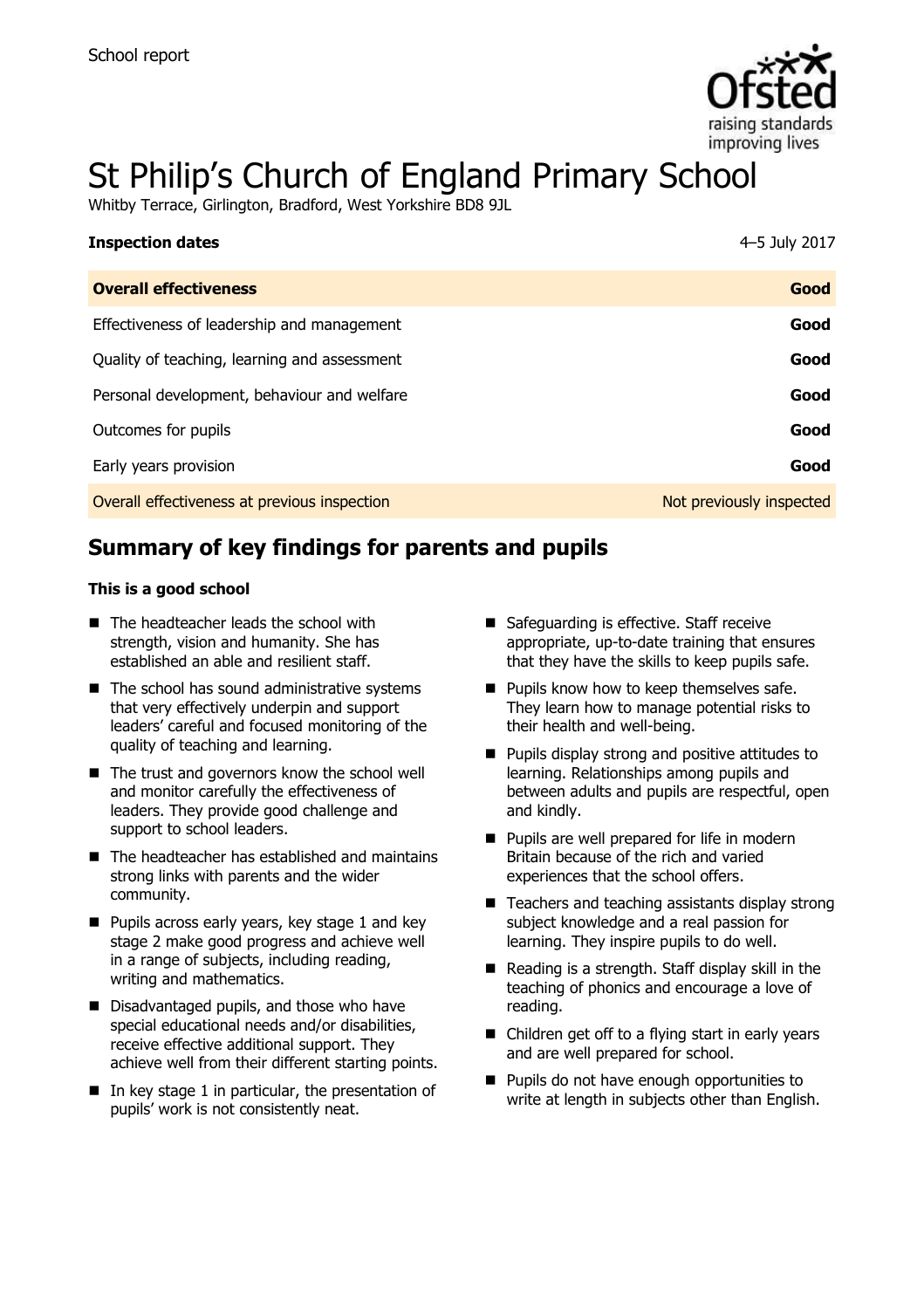

# St Philip's Church of England Primary School

Whitby Terrace, Girlington, Bradford, West Yorkshire BD8 9JL

| <b>Inspection dates</b>                      | 4-5 July 2017            |
|----------------------------------------------|--------------------------|
| <b>Overall effectiveness</b>                 | Good                     |
| Effectiveness of leadership and management   | Good                     |
| Quality of teaching, learning and assessment | Good                     |
| Personal development, behaviour and welfare  | Good                     |
| Outcomes for pupils                          | Good                     |
| Early years provision                        | Good                     |
| Overall effectiveness at previous inspection | Not previously inspected |

# **Summary of key findings for parents and pupils**

#### **This is a good school**

- The headteacher leads the school with strength, vision and humanity. She has established an able and resilient staff.
- $\blacksquare$  The school has sound administrative systems that very effectively underpin and support leaders' careful and focused monitoring of the quality of teaching and learning.
- The trust and governors know the school well and monitor carefully the effectiveness of leaders. They provide good challenge and support to school leaders.
- The headteacher has established and maintains strong links with parents and the wider community.
- $\blacksquare$  Pupils across early years, key stage 1 and key stage 2 make good progress and achieve well in a range of subjects, including reading, writing and mathematics.
- Disadvantaged pupils, and those who have special educational needs and/or disabilities, receive effective additional support. They achieve well from their different starting points.
- $\blacksquare$  In key stage 1 in particular, the presentation of pupils' work is not consistently neat.
- Safeguarding is effective. Staff receive appropriate, up-to-date training that ensures that they have the skills to keep pupils safe.
- **Pupils know how to keep themselves safe.** They learn how to manage potential risks to their health and well-being.
- **Pupils display strong and positive attitudes to** learning. Relationships among pupils and between adults and pupils are respectful, open and kindly.
- **Pupils are well prepared for life in modern** Britain because of the rich and varied experiences that the school offers.
- $\blacksquare$  Teachers and teaching assistants display strong subject knowledge and a real passion for learning. They inspire pupils to do well.
- $\blacksquare$  Reading is a strength. Staff display skill in the teaching of phonics and encourage a love of reading.
- Children get off to a flying start in early years and are well prepared for school.
- **Pupils do not have enough opportunities to** write at length in subjects other than English.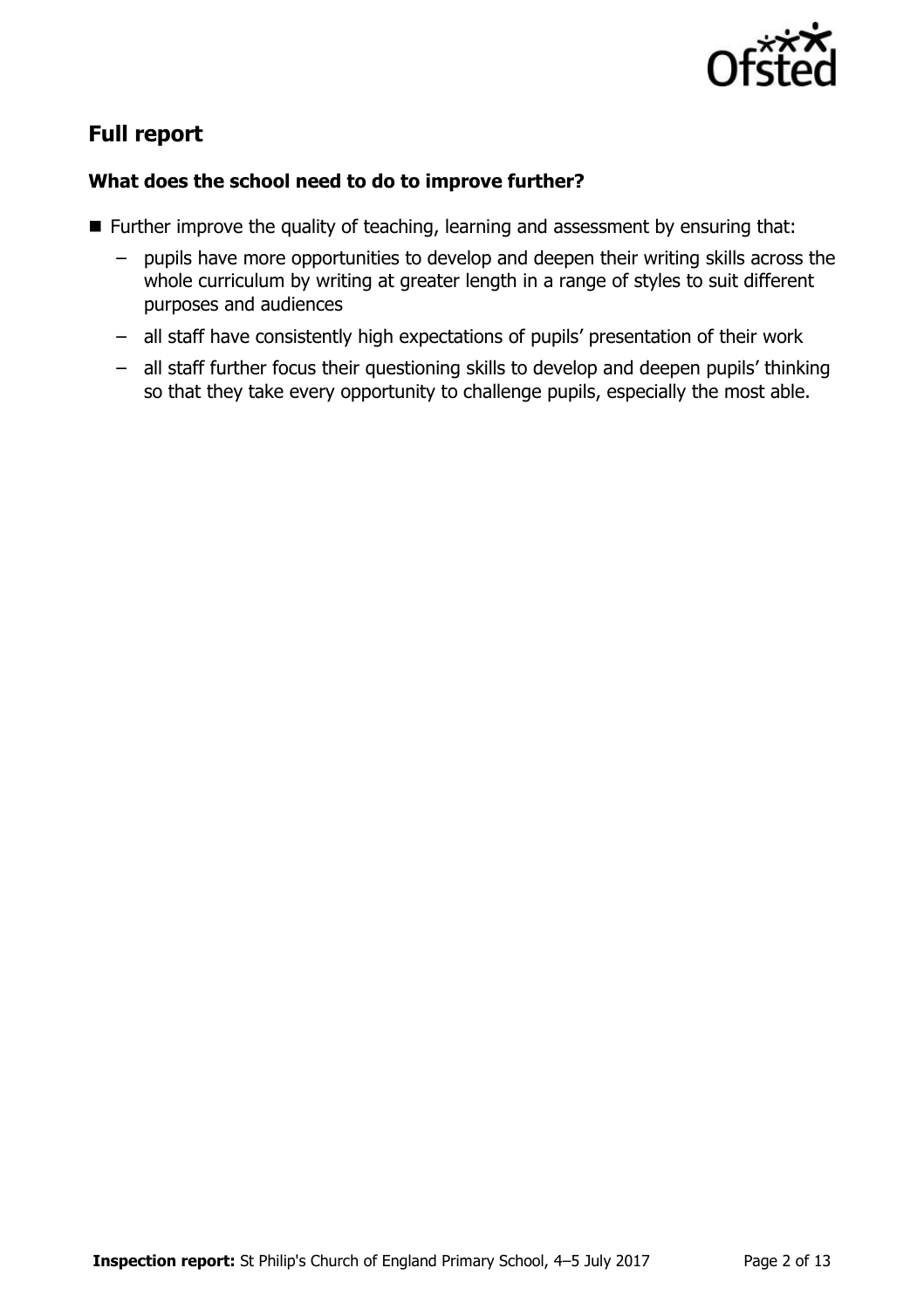

# **Full report**

### **What does the school need to do to improve further?**

- Further improve the quality of teaching, learning and assessment by ensuring that:
	- pupils have more opportunities to develop and deepen their writing skills across the whole curriculum by writing at greater length in a range of styles to suit different purposes and audiences
	- all staff have consistently high expectations of pupils' presentation of their work
	- all staff further focus their questioning skills to develop and deepen pupils' thinking so that they take every opportunity to challenge pupils, especially the most able.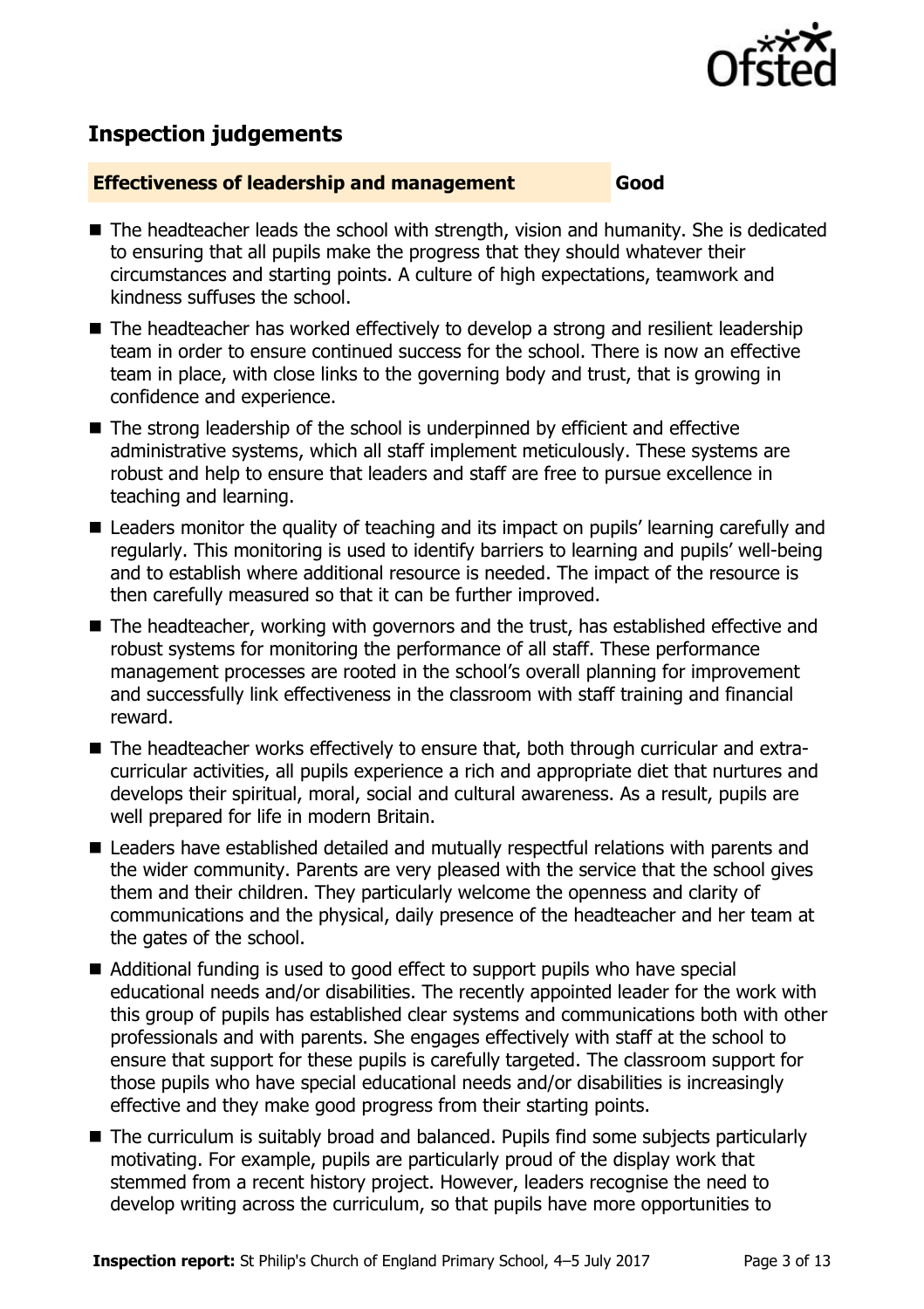

# **Inspection judgements**

#### **Effectiveness of leadership and management Good**

- The headteacher leads the school with strength, vision and humanity. She is dedicated to ensuring that all pupils make the progress that they should whatever their circumstances and starting points. A culture of high expectations, teamwork and kindness suffuses the school.
- The headteacher has worked effectively to develop a strong and resilient leadership team in order to ensure continued success for the school. There is now an effective team in place, with close links to the governing body and trust, that is growing in confidence and experience.
- The strong leadership of the school is underpinned by efficient and effective administrative systems, which all staff implement meticulously. These systems are robust and help to ensure that leaders and staff are free to pursue excellence in teaching and learning.
- Leaders monitor the quality of teaching and its impact on pupils' learning carefully and regularly. This monitoring is used to identify barriers to learning and pupils' well-being and to establish where additional resource is needed. The impact of the resource is then carefully measured so that it can be further improved.
- The headteacher, working with governors and the trust, has established effective and robust systems for monitoring the performance of all staff. These performance management processes are rooted in the school's overall planning for improvement and successfully link effectiveness in the classroom with staff training and financial reward.
- The headteacher works effectively to ensure that, both through curricular and extracurricular activities, all pupils experience a rich and appropriate diet that nurtures and develops their spiritual, moral, social and cultural awareness. As a result, pupils are well prepared for life in modern Britain.
- Leaders have established detailed and mutually respectful relations with parents and the wider community. Parents are very pleased with the service that the school gives them and their children. They particularly welcome the openness and clarity of communications and the physical, daily presence of the headteacher and her team at the gates of the school.
- Additional funding is used to good effect to support pupils who have special educational needs and/or disabilities. The recently appointed leader for the work with this group of pupils has established clear systems and communications both with other professionals and with parents. She engages effectively with staff at the school to ensure that support for these pupils is carefully targeted. The classroom support for those pupils who have special educational needs and/or disabilities is increasingly effective and they make good progress from their starting points.
- The curriculum is suitably broad and balanced. Pupils find some subjects particularly motivating. For example, pupils are particularly proud of the display work that stemmed from a recent history project. However, leaders recognise the need to develop writing across the curriculum, so that pupils have more opportunities to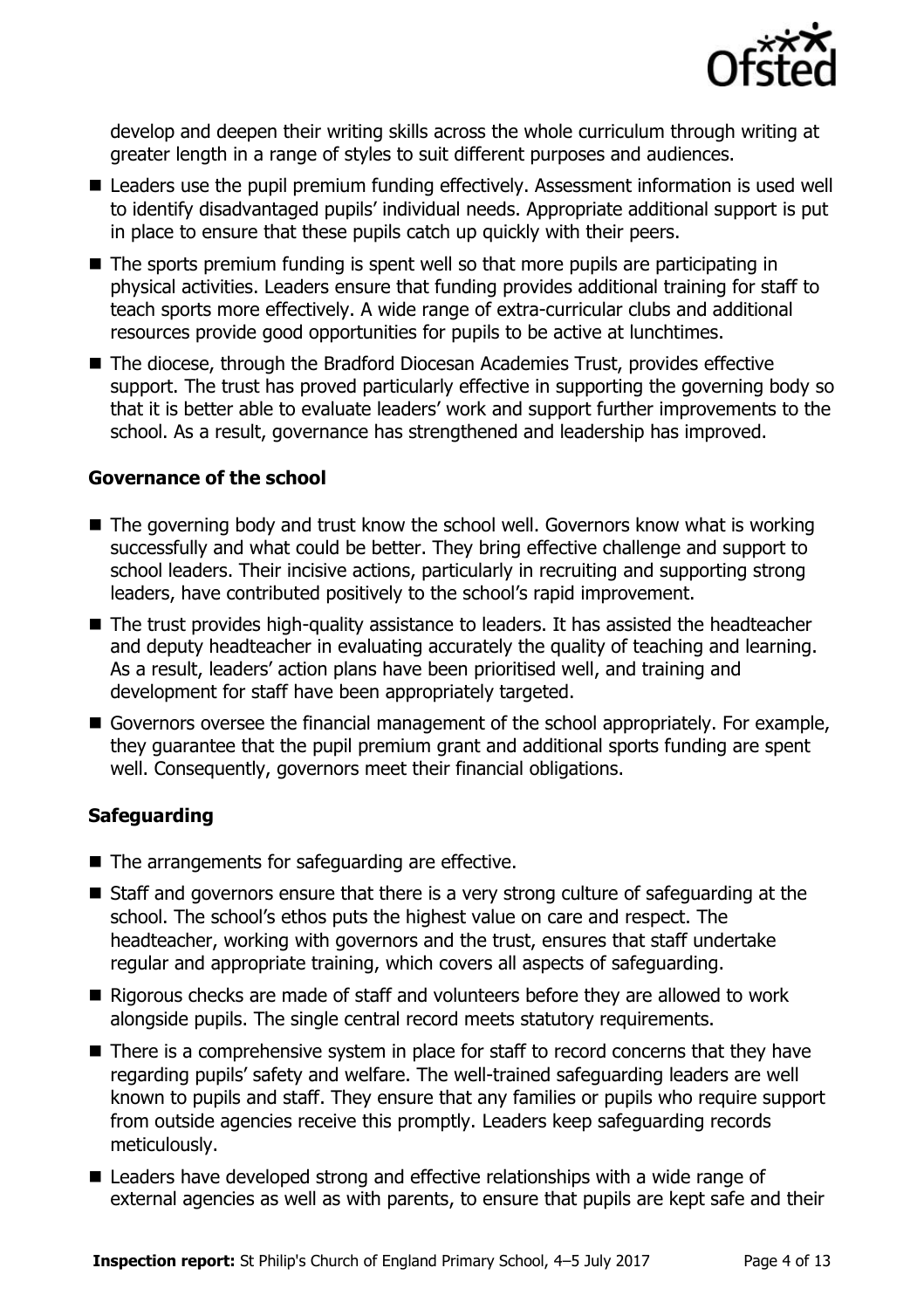

develop and deepen their writing skills across the whole curriculum through writing at greater length in a range of styles to suit different purposes and audiences.

- Leaders use the pupil premium funding effectively. Assessment information is used well to identify disadvantaged pupils' individual needs. Appropriate additional support is put in place to ensure that these pupils catch up quickly with their peers.
- $\blacksquare$  The sports premium funding is spent well so that more pupils are participating in physical activities. Leaders ensure that funding provides additional training for staff to teach sports more effectively. A wide range of extra-curricular clubs and additional resources provide good opportunities for pupils to be active at lunchtimes.
- The diocese, through the Bradford Diocesan Academies Trust, provides effective support. The trust has proved particularly effective in supporting the governing body so that it is better able to evaluate leaders' work and support further improvements to the school. As a result, governance has strengthened and leadership has improved.

#### **Governance of the school**

- $\blacksquare$  The governing body and trust know the school well. Governors know what is working successfully and what could be better. They bring effective challenge and support to school leaders. Their incisive actions, particularly in recruiting and supporting strong leaders, have contributed positively to the school's rapid improvement.
- The trust provides high-quality assistance to leaders. It has assisted the headteacher and deputy headteacher in evaluating accurately the quality of teaching and learning. As a result, leaders' action plans have been prioritised well, and training and development for staff have been appropriately targeted.
- Governors oversee the financial management of the school appropriately. For example, they guarantee that the pupil premium grant and additional sports funding are spent well. Consequently, governors meet their financial obligations.

#### **Safeguarding**

- The arrangements for safeguarding are effective.
- Staff and governors ensure that there is a very strong culture of safeguarding at the school. The school's ethos puts the highest value on care and respect. The headteacher, working with governors and the trust, ensures that staff undertake regular and appropriate training, which covers all aspects of safeguarding.
- Rigorous checks are made of staff and volunteers before they are allowed to work alongside pupils. The single central record meets statutory requirements.
- There is a comprehensive system in place for staff to record concerns that they have regarding pupils' safety and welfare. The well-trained safeguarding leaders are well known to pupils and staff. They ensure that any families or pupils who require support from outside agencies receive this promptly. Leaders keep safeguarding records meticulously.
- Leaders have developed strong and effective relationships with a wide range of external agencies as well as with parents, to ensure that pupils are kept safe and their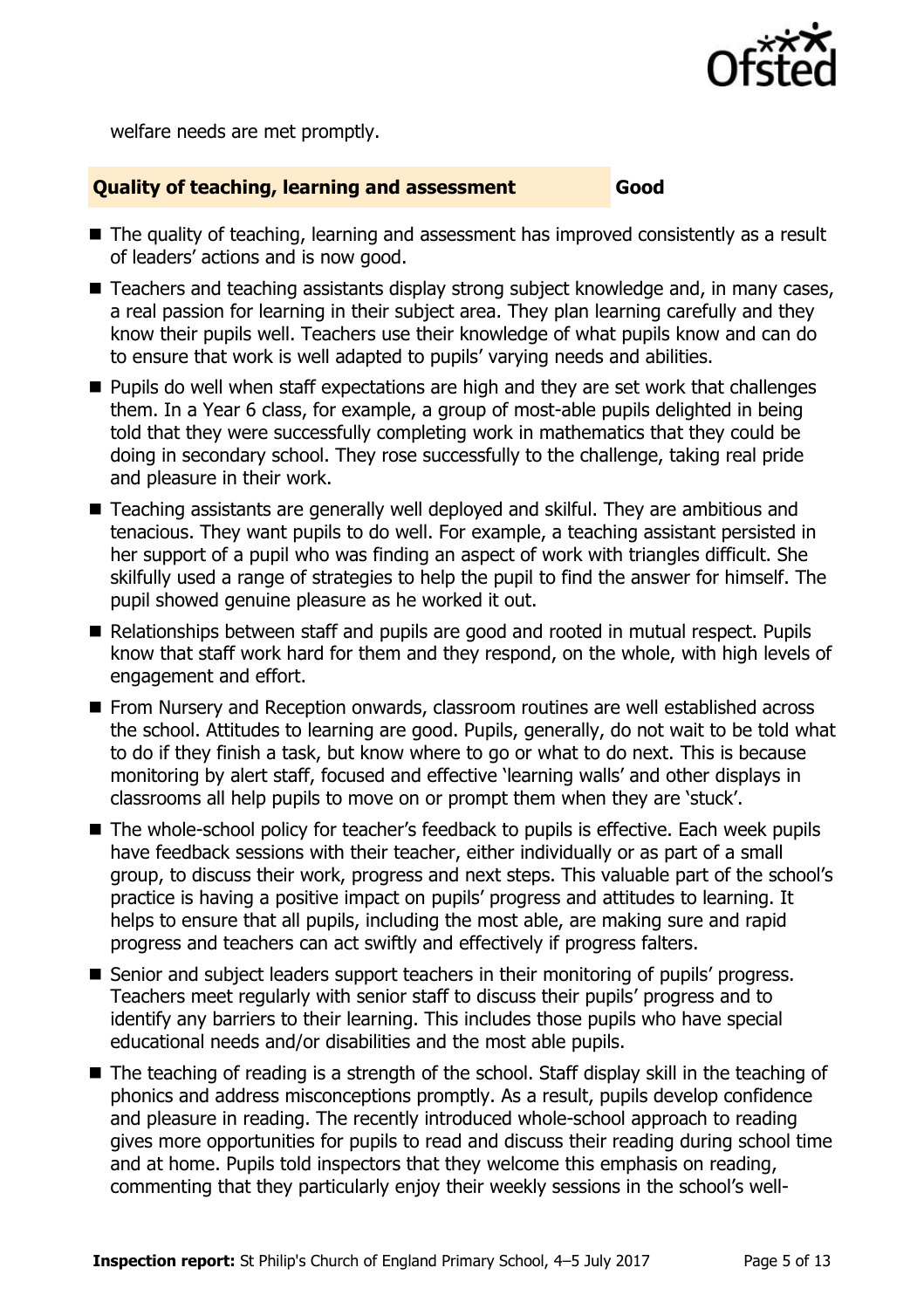

welfare needs are met promptly.

#### **Quality of teaching, learning and assessment Good**

- The quality of teaching, learning and assessment has improved consistently as a result of leaders' actions and is now good.
- Teachers and teaching assistants display strong subject knowledge and, in many cases, a real passion for learning in their subject area. They plan learning carefully and they know their pupils well. Teachers use their knowledge of what pupils know and can do to ensure that work is well adapted to pupils' varying needs and abilities.
- **Pupils do well when staff expectations are high and they are set work that challenges** them. In a Year 6 class, for example, a group of most-able pupils delighted in being told that they were successfully completing work in mathematics that they could be doing in secondary school. They rose successfully to the challenge, taking real pride and pleasure in their work.
- Teaching assistants are generally well deployed and skilful. They are ambitious and tenacious. They want pupils to do well. For example, a teaching assistant persisted in her support of a pupil who was finding an aspect of work with triangles difficult. She skilfully used a range of strategies to help the pupil to find the answer for himself. The pupil showed genuine pleasure as he worked it out.
- Relationships between staff and pupils are good and rooted in mutual respect. Pupils know that staff work hard for them and they respond, on the whole, with high levels of engagement and effort.
- **From Nursery and Reception onwards, classroom routines are well established across** the school. Attitudes to learning are good. Pupils, generally, do not wait to be told what to do if they finish a task, but know where to go or what to do next. This is because monitoring by alert staff, focused and effective 'learning walls' and other displays in classrooms all help pupils to move on or prompt them when they are 'stuck'.
- The whole-school policy for teacher's feedback to pupils is effective. Each week pupils have feedback sessions with their teacher, either individually or as part of a small group, to discuss their work, progress and next steps. This valuable part of the school's practice is having a positive impact on pupils' progress and attitudes to learning. It helps to ensure that all pupils, including the most able, are making sure and rapid progress and teachers can act swiftly and effectively if progress falters.
- Senior and subject leaders support teachers in their monitoring of pupils' progress. Teachers meet regularly with senior staff to discuss their pupils' progress and to identify any barriers to their learning. This includes those pupils who have special educational needs and/or disabilities and the most able pupils.
- The teaching of reading is a strength of the school. Staff display skill in the teaching of phonics and address misconceptions promptly. As a result, pupils develop confidence and pleasure in reading. The recently introduced whole-school approach to reading gives more opportunities for pupils to read and discuss their reading during school time and at home. Pupils told inspectors that they welcome this emphasis on reading, commenting that they particularly enjoy their weekly sessions in the school's well-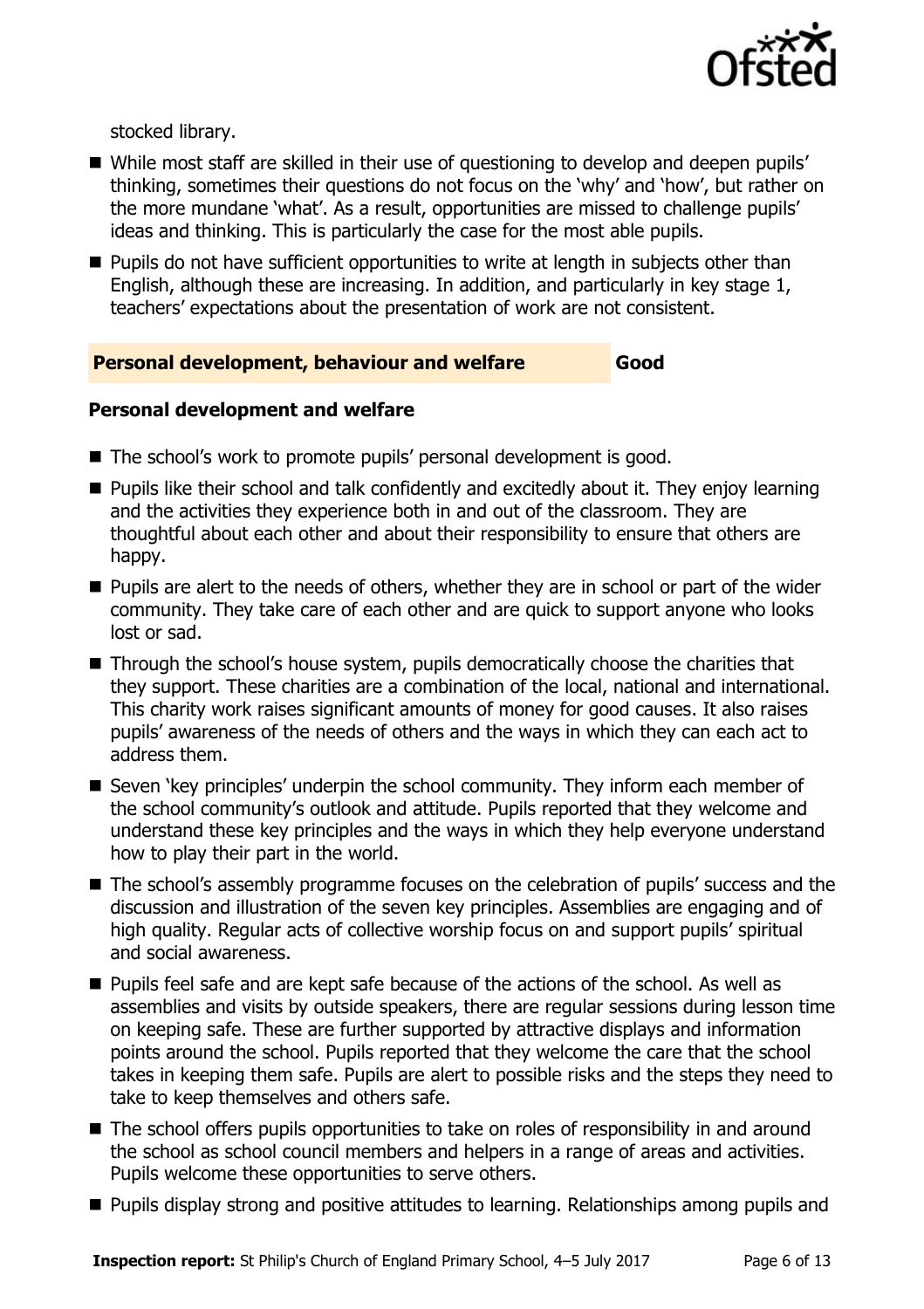

stocked library.

- While most staff are skilled in their use of questioning to develop and deepen pupils' thinking, sometimes their questions do not focus on the 'why' and 'how', but rather on the more mundane 'what'. As a result, opportunities are missed to challenge pupils' ideas and thinking. This is particularly the case for the most able pupils.
- **Pupils do not have sufficient opportunities to write at length in subjects other than** English, although these are increasing. In addition, and particularly in key stage 1, teachers' expectations about the presentation of work are not consistent.

#### **Personal development, behaviour and welfare Good**

#### **Personal development and welfare**

- The school's work to promote pupils' personal development is good.
- **Pupils like their school and talk confidently and excitedly about it. They enjoy learning** and the activities they experience both in and out of the classroom. They are thoughtful about each other and about their responsibility to ensure that others are happy.
- **Pupils are alert to the needs of others, whether they are in school or part of the wider** community. They take care of each other and are quick to support anyone who looks lost or sad.
- Through the school's house system, pupils democratically choose the charities that they support. These charities are a combination of the local, national and international. This charity work raises significant amounts of money for good causes. It also raises pupils' awareness of the needs of others and the ways in which they can each act to address them.
- Seven 'key principles' underpin the school community. They inform each member of the school community's outlook and attitude. Pupils reported that they welcome and understand these key principles and the ways in which they help everyone understand how to play their part in the world.
- The school's assembly programme focuses on the celebration of pupils' success and the discussion and illustration of the seven key principles. Assemblies are engaging and of high quality. Regular acts of collective worship focus on and support pupils' spiritual and social awareness.
- **Pupils feel safe and are kept safe because of the actions of the school. As well as** assemblies and visits by outside speakers, there are regular sessions during lesson time on keeping safe. These are further supported by attractive displays and information points around the school. Pupils reported that they welcome the care that the school takes in keeping them safe. Pupils are alert to possible risks and the steps they need to take to keep themselves and others safe.
- The school offers pupils opportunities to take on roles of responsibility in and around the school as school council members and helpers in a range of areas and activities. Pupils welcome these opportunities to serve others.
- **Pupils display strong and positive attitudes to learning. Relationships among pupils and**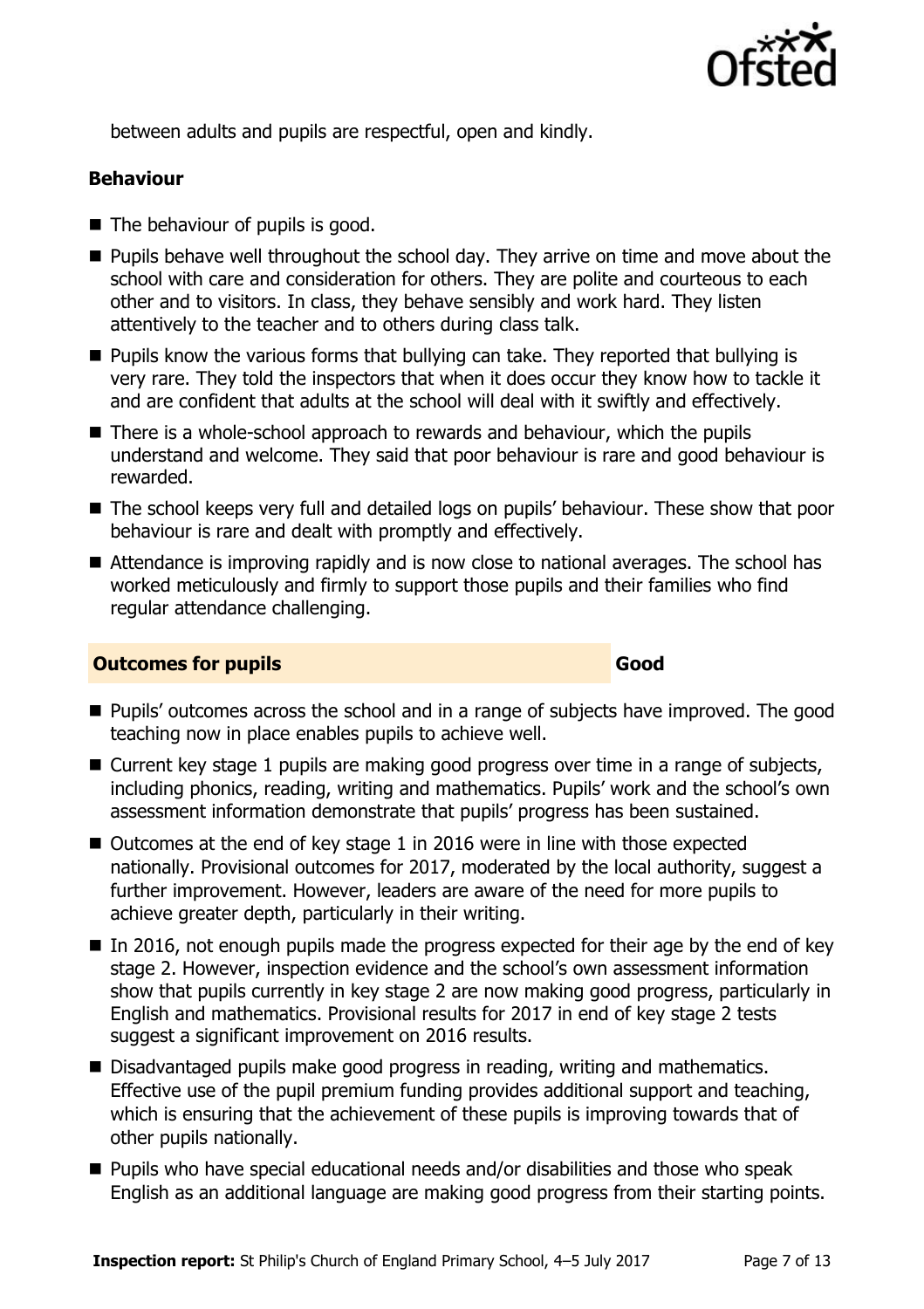

between adults and pupils are respectful, open and kindly.

### **Behaviour**

- The behaviour of pupils is good.
- **Pupils behave well throughout the school day. They arrive on time and move about the** school with care and consideration for others. They are polite and courteous to each other and to visitors. In class, they behave sensibly and work hard. They listen attentively to the teacher and to others during class talk.
- **Pupils know the various forms that bullying can take. They reported that bullying is** very rare. They told the inspectors that when it does occur they know how to tackle it and are confident that adults at the school will deal with it swiftly and effectively.
- $\blacksquare$  There is a whole-school approach to rewards and behaviour, which the pupils understand and welcome. They said that poor behaviour is rare and good behaviour is rewarded.
- The school keeps very full and detailed logs on pupils' behaviour. These show that poor behaviour is rare and dealt with promptly and effectively.
- Attendance is improving rapidly and is now close to national averages. The school has worked meticulously and firmly to support those pupils and their families who find regular attendance challenging.

#### **Outcomes for pupils Good**

- **Pupils'** outcomes across the school and in a range of subjects have improved. The good teaching now in place enables pupils to achieve well.
- Current key stage 1 pupils are making good progress over time in a range of subjects, including phonics, reading, writing and mathematics. Pupils' work and the school's own assessment information demonstrate that pupils' progress has been sustained.
- Outcomes at the end of key stage 1 in 2016 were in line with those expected nationally. Provisional outcomes for 2017, moderated by the local authority, suggest a further improvement. However, leaders are aware of the need for more pupils to achieve greater depth, particularly in their writing.
- $\blacksquare$  In 2016, not enough pupils made the progress expected for their age by the end of key stage 2. However, inspection evidence and the school's own assessment information show that pupils currently in key stage 2 are now making good progress, particularly in English and mathematics. Provisional results for 2017 in end of key stage 2 tests suggest a significant improvement on 2016 results.
- Disadvantaged pupils make good progress in reading, writing and mathematics. Effective use of the pupil premium funding provides additional support and teaching, which is ensuring that the achievement of these pupils is improving towards that of other pupils nationally.
- Pupils who have special educational needs and/or disabilities and those who speak English as an additional language are making good progress from their starting points.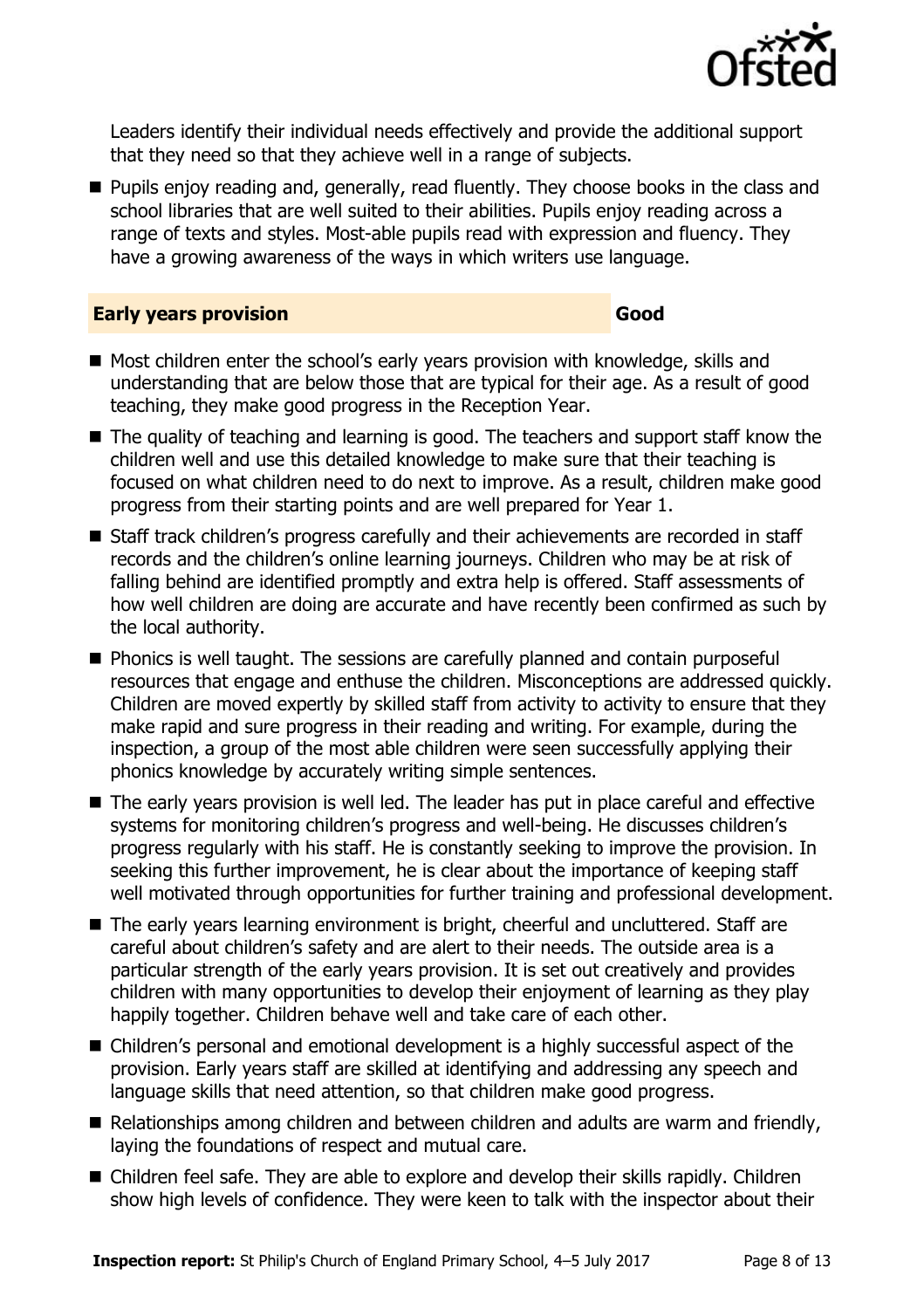

Leaders identify their individual needs effectively and provide the additional support that they need so that they achieve well in a range of subjects.

**Pupils enjoy reading and, generally, read fluently. They choose books in the class and** school libraries that are well suited to their abilities. Pupils enjoy reading across a range of texts and styles. Most-able pupils read with expression and fluency. They have a growing awareness of the ways in which writers use language.

#### **Early years provision Good Good**

- Most children enter the school's early years provision with knowledge, skills and understanding that are below those that are typical for their age. As a result of good teaching, they make good progress in the Reception Year.
- The quality of teaching and learning is good. The teachers and support staff know the children well and use this detailed knowledge to make sure that their teaching is focused on what children need to do next to improve. As a result, children make good progress from their starting points and are well prepared for Year 1.
- Staff track children's progress carefully and their achievements are recorded in staff records and the children's online learning journeys. Children who may be at risk of falling behind are identified promptly and extra help is offered. Staff assessments of how well children are doing are accurate and have recently been confirmed as such by the local authority.
- **Phonics is well taught. The sessions are carefully planned and contain purposeful** resources that engage and enthuse the children. Misconceptions are addressed quickly. Children are moved expertly by skilled staff from activity to activity to ensure that they make rapid and sure progress in their reading and writing. For example, during the inspection, a group of the most able children were seen successfully applying their phonics knowledge by accurately writing simple sentences.
- The early years provision is well led. The leader has put in place careful and effective systems for monitoring children's progress and well-being. He discusses children's progress regularly with his staff. He is constantly seeking to improve the provision. In seeking this further improvement, he is clear about the importance of keeping staff well motivated through opportunities for further training and professional development.
- The early years learning environment is bright, cheerful and uncluttered. Staff are careful about children's safety and are alert to their needs. The outside area is a particular strength of the early years provision. It is set out creatively and provides children with many opportunities to develop their enjoyment of learning as they play happily together. Children behave well and take care of each other.
- Children's personal and emotional development is a highly successful aspect of the provision. Early years staff are skilled at identifying and addressing any speech and language skills that need attention, so that children make good progress.
- Relationships among children and between children and adults are warm and friendly, laying the foundations of respect and mutual care.
- Children feel safe. They are able to explore and develop their skills rapidly. Children show high levels of confidence. They were keen to talk with the inspector about their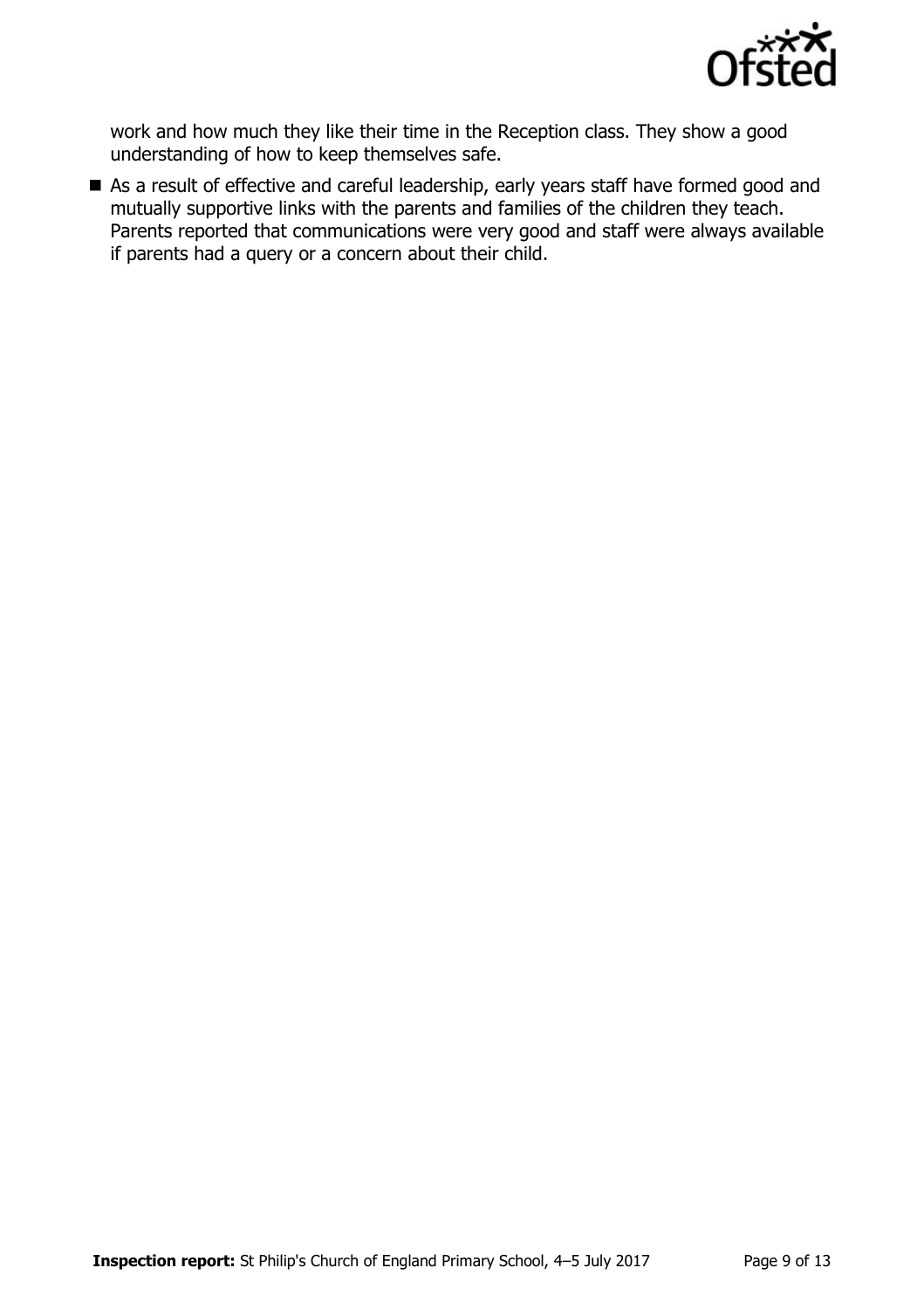

work and how much they like their time in the Reception class. They show a good understanding of how to keep themselves safe.

As a result of effective and careful leadership, early years staff have formed good and mutually supportive links with the parents and families of the children they teach. Parents reported that communications were very good and staff were always available if parents had a query or a concern about their child.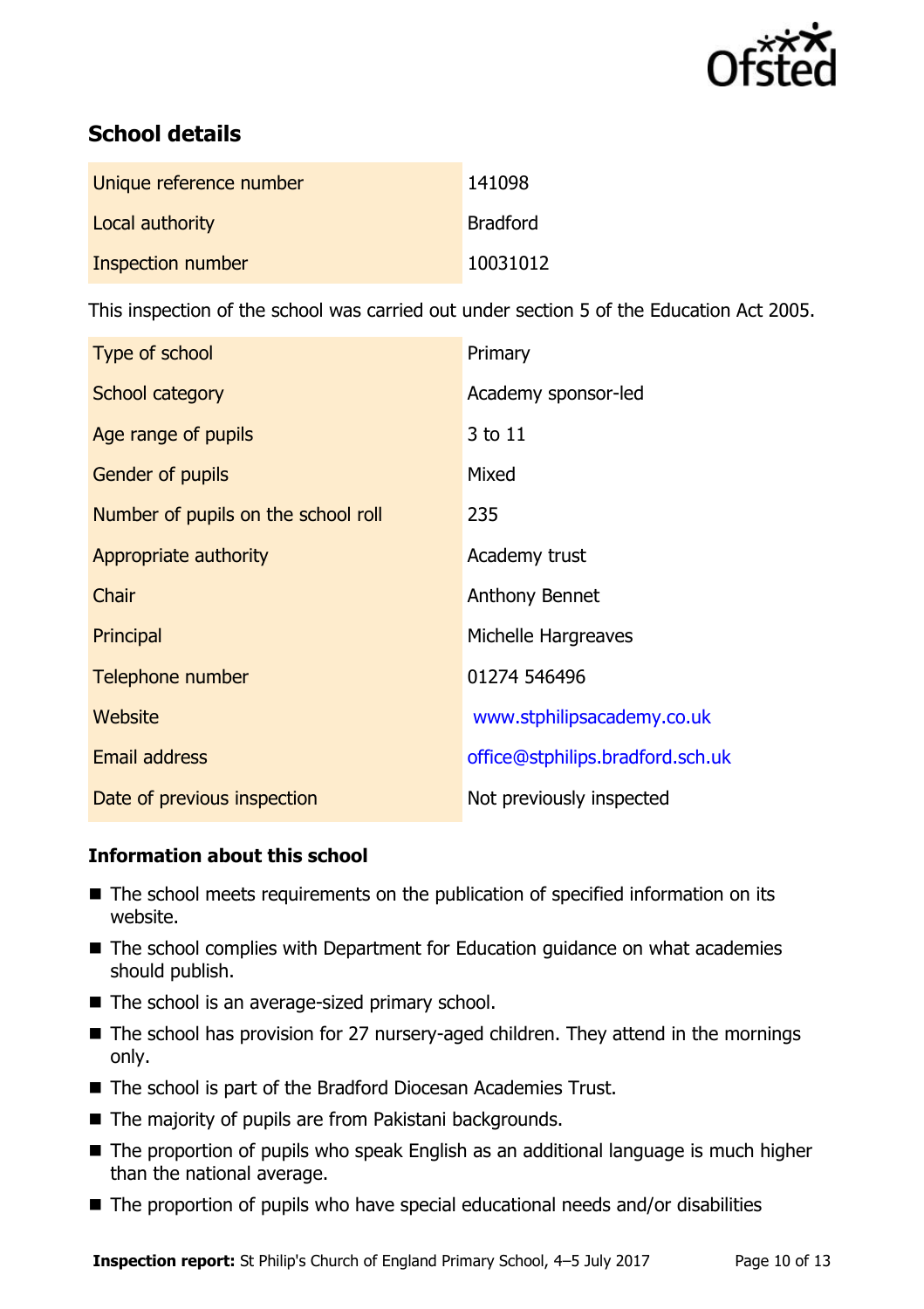

# **School details**

| Unique reference number | 141098          |
|-------------------------|-----------------|
| Local authority         | <b>Bradford</b> |
| Inspection number       | 10031012        |

This inspection of the school was carried out under section 5 of the Education Act 2005.

| Type of school                      | Primary                          |
|-------------------------------------|----------------------------------|
| School category                     | Academy sponsor-led              |
| Age range of pupils                 | 3 to 11                          |
| <b>Gender of pupils</b>             | Mixed                            |
| Number of pupils on the school roll | 235                              |
| Appropriate authority               | Academy trust                    |
| Chair                               | Anthony Bennet                   |
| Principal                           | Michelle Hargreaves              |
| Telephone number                    | 01274 546496                     |
| Website                             | www.stphilipsacademy.co.uk       |
| Email address                       | office@stphilips.bradford.sch.uk |
| Date of previous inspection         | Not previously inspected         |

#### **Information about this school**

- The school meets requirements on the publication of specified information on its website.
- The school complies with Department for Education guidance on what academies should publish.
- The school is an average-sized primary school.
- The school has provision for 27 nursery-aged children. They attend in the mornings only.
- The school is part of the Bradford Diocesan Academies Trust.
- The majority of pupils are from Pakistani backgrounds.
- The proportion of pupils who speak English as an additional language is much higher than the national average.
- The proportion of pupils who have special educational needs and/or disabilities

**Inspection report:** St Philip's Church of England Primary School, 4-5 July 2017 Page 10 of 13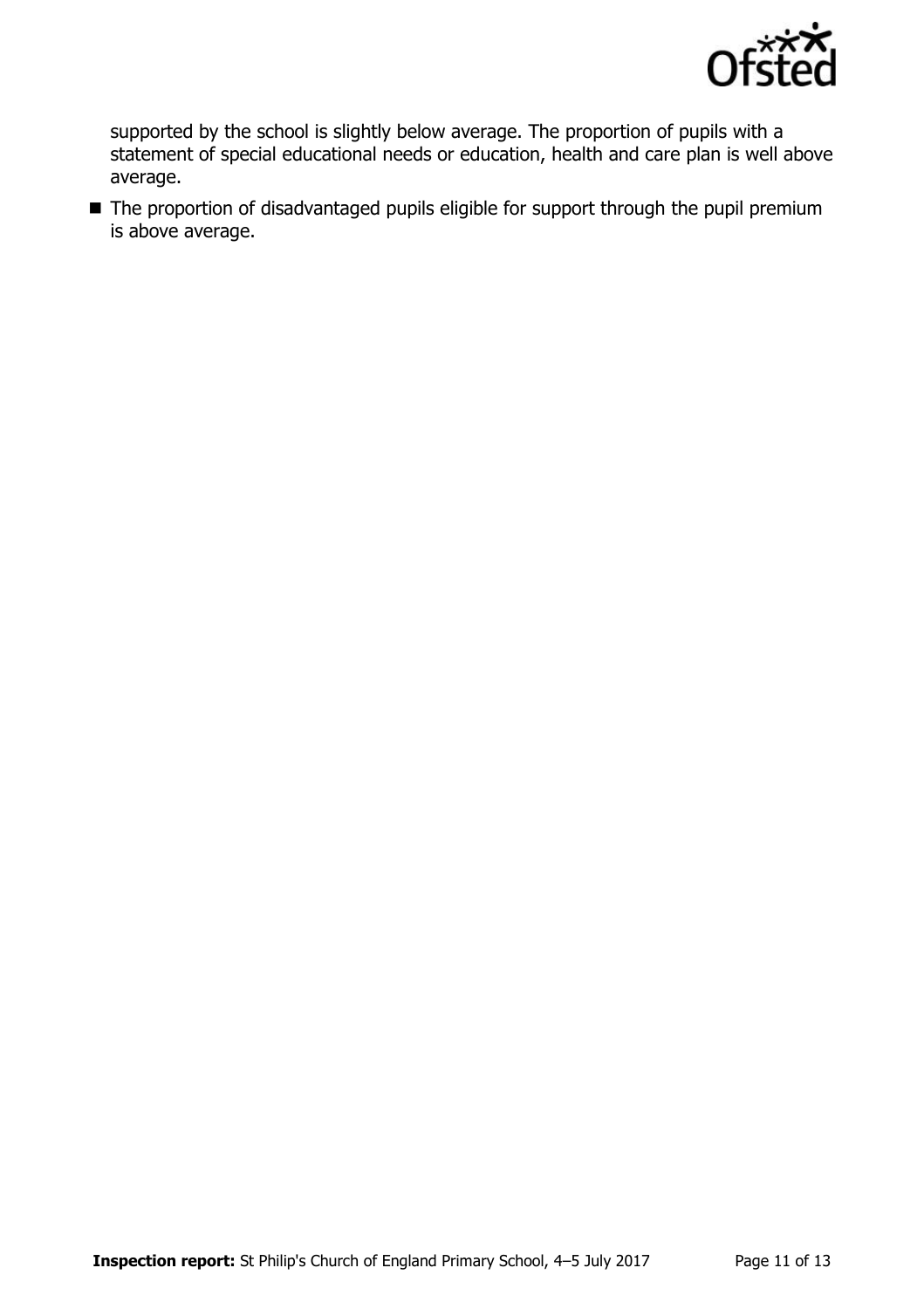

supported by the school is slightly below average. The proportion of pupils with a statement of special educational needs or education, health and care plan is well above average.

■ The proportion of disadvantaged pupils eligible for support through the pupil premium is above average.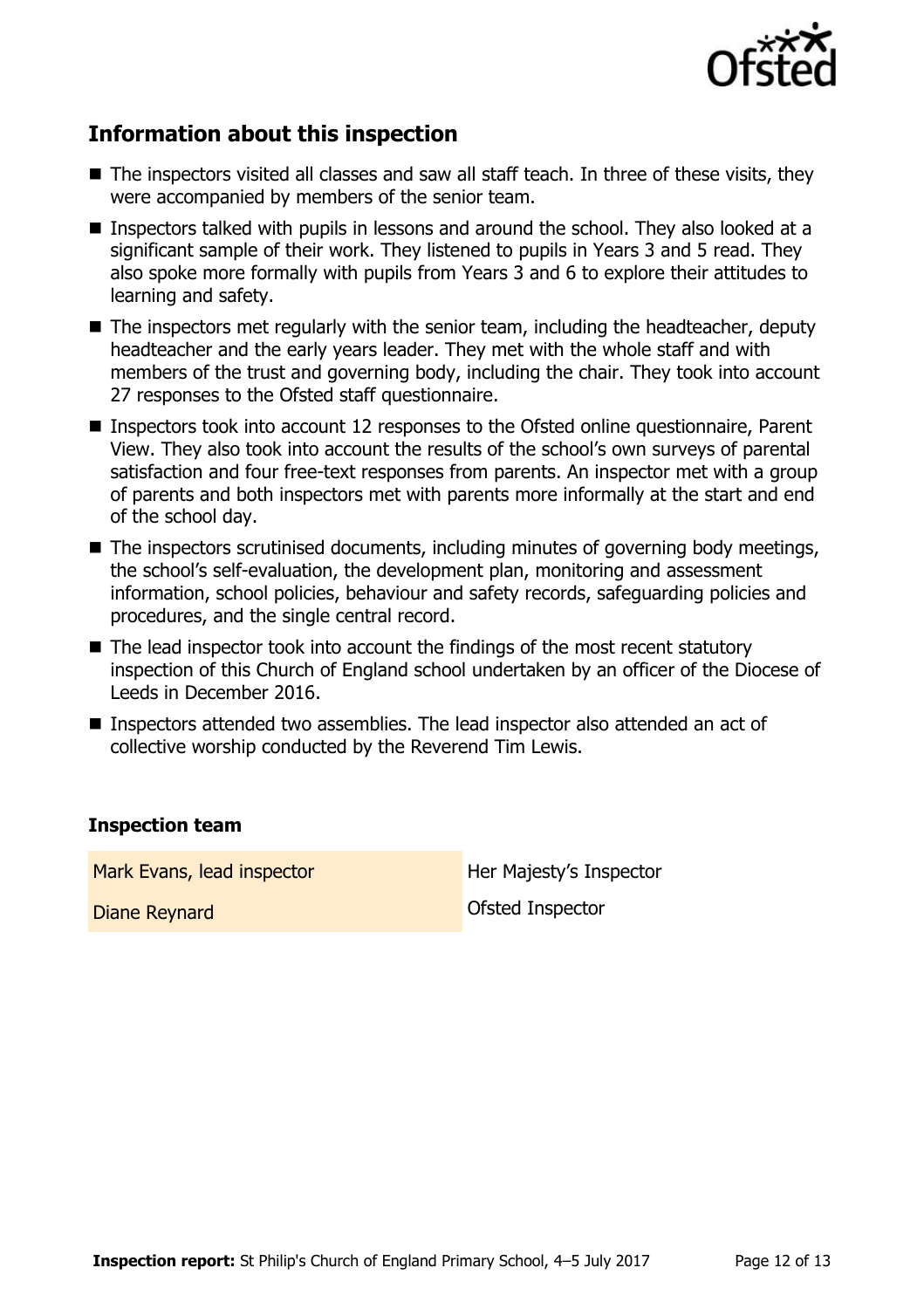

# **Information about this inspection**

- The inspectors visited all classes and saw all staff teach. In three of these visits, they were accompanied by members of the senior team.
- Inspectors talked with pupils in lessons and around the school. They also looked at a significant sample of their work. They listened to pupils in Years 3 and 5 read. They also spoke more formally with pupils from Years 3 and 6 to explore their attitudes to learning and safety.
- The inspectors met regularly with the senior team, including the headteacher, deputy headteacher and the early years leader. They met with the whole staff and with members of the trust and governing body, including the chair. They took into account 27 responses to the Ofsted staff questionnaire.
- Inspectors took into account 12 responses to the Ofsted online questionnaire, Parent View. They also took into account the results of the school's own surveys of parental satisfaction and four free-text responses from parents. An inspector met with a group of parents and both inspectors met with parents more informally at the start and end of the school day.
- The inspectors scrutinised documents, including minutes of governing body meetings, the school's self-evaluation, the development plan, monitoring and assessment information, school policies, behaviour and safety records, safeguarding policies and procedures, and the single central record.
- The lead inspector took into account the findings of the most recent statutory inspection of this Church of England school undertaken by an officer of the Diocese of Leeds in December 2016.
- Inspectors attended two assemblies. The lead inspector also attended an act of collective worship conducted by the Reverend Tim Lewis.

#### **Inspection team**

Mark Evans, lead inspector **Her Majesty's Inspector** 

Diane Reynard **Diane Reynard Ofsted Inspector**